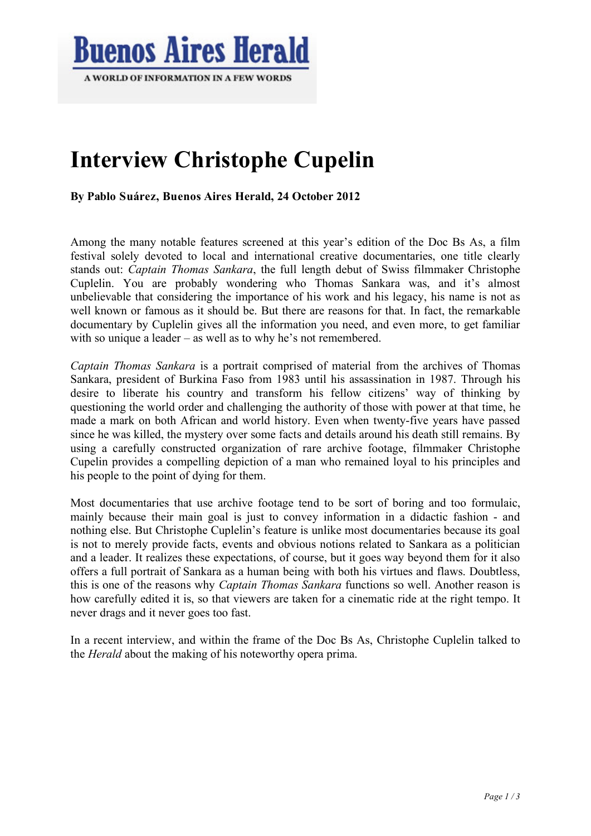

# **Interview Christophe Cupelin**

**By Pablo Suárez, Buenos Aires Herald, 24 October 2012**

Among the many notable features screened at this year's edition of the Doc Bs As, a film festival solely devoted to local and international creative documentaries, one title clearly stands out: *Captain Thomas Sankara*, the full length debut of Swiss filmmaker Christophe Cuplelin. You are probably wondering who Thomas Sankara was, and it's almost unbelievable that considering the importance of his work and his legacy, his name is not as well known or famous as it should be. But there are reasons for that. In fact, the remarkable documentary by Cuplelin gives all the information you need, and even more, to get familiar with so unique a leader – as well as to why he's not remembered.

*Captain Thomas Sankara* is a portrait comprised of material from the archives of Thomas Sankara, president of Burkina Faso from 1983 until his assassination in 1987. Through his desire to liberate his country and transform his fellow citizens' way of thinking by questioning the world order and challenging the authority of those with power at that time, he made a mark on both African and world history. Even when twenty-five years have passed since he was killed, the mystery over some facts and details around his death still remains. By using a carefully constructed organization of rare archive footage, filmmaker Christophe Cupelin provides a compelling depiction of a man who remained loyal to his principles and his people to the point of dying for them.

Most documentaries that use archive footage tend to be sort of boring and too formulaic, mainly because their main goal is just to convey information in a didactic fashion - and nothing else. But Christophe Cuplelin's feature is unlike most documentaries because its goal is not to merely provide facts, events and obvious notions related to Sankara as a politician and a leader. It realizes these expectations, of course, but it goes way beyond them for it also offers a full portrait of Sankara as a human being with both his virtues and flaws. Doubtless, this is one of the reasons why *Captain Thomas Sankara* functions so well. Another reason is how carefully edited it is, so that viewers are taken for a cinematic ride at the right tempo. It never drags and it never goes too fast.

In a recent interview, and within the frame of the Doc Bs As, Christophe Cuplelin talked to the *Herald* about the making of his noteworthy opera prima.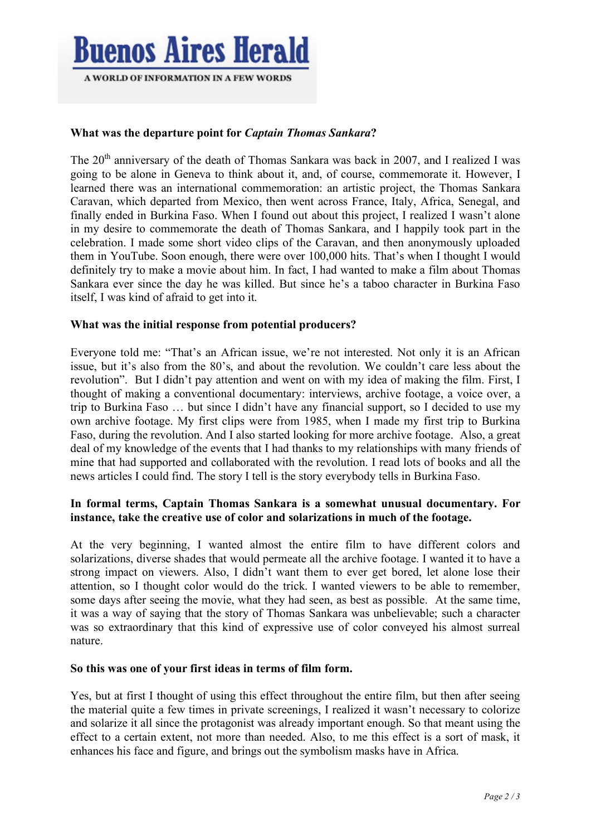

# **What was the departure point for** *Captain Thomas Sankara***?**

The  $20<sup>th</sup>$  anniversary of the death of Thomas Sankara was back in 2007, and I realized I was going to be alone in Geneva to think about it, and, of course, commemorate it. However, I learned there was an international commemoration: an artistic project, the Thomas Sankara Caravan, which departed from Mexico, then went across France, Italy, Africa, Senegal, and finally ended in Burkina Faso. When I found out about this project, I realized I wasn't alone in my desire to commemorate the death of Thomas Sankara, and I happily took part in the celebration. I made some short video clips of the Caravan, and then anonymously uploaded them in YouTube. Soon enough, there were over 100,000 hits. That's when I thought I would definitely try to make a movie about him. In fact, I had wanted to make a film about Thomas Sankara ever since the day he was killed. But since he's a taboo character in Burkina Faso itself, I was kind of afraid to get into it.

# **What was the initial response from potential producers?**

Everyone told me: "That's an African issue, we're not interested. Not only it is an African issue, but it's also from the 80's, and about the revolution. We couldn't care less about the revolution". But I didn't pay attention and went on with my idea of making the film. First, I thought of making a conventional documentary: interviews, archive footage, a voice over, a trip to Burkina Faso … but since I didn't have any financial support, so I decided to use my own archive footage. My first clips were from 1985, when I made my first trip to Burkina Faso, during the revolution. And I also started looking for more archive footage. Also, a great deal of my knowledge of the events that I had thanks to my relationships with many friends of mine that had supported and collaborated with the revolution. I read lots of books and all the news articles I could find. The story I tell is the story everybody tells in Burkina Faso.

# **In formal terms, Captain Thomas Sankara is a somewhat unusual documentary. For instance, take the creative use of color and solarizations in much of the footage.**

At the very beginning, I wanted almost the entire film to have different colors and solarizations, diverse shades that would permeate all the archive footage. I wanted it to have a strong impact on viewers. Also, I didn't want them to ever get bored, let alone lose their attention, so I thought color would do the trick. I wanted viewers to be able to remember, some days after seeing the movie, what they had seen, as best as possible. At the same time, it was a way of saying that the story of Thomas Sankara was unbelievable; such a character was so extraordinary that this kind of expressive use of color conveyed his almost surreal nature.

## **So this was one of your first ideas in terms of film form.**

Yes, but at first I thought of using this effect throughout the entire film, but then after seeing the material quite a few times in private screenings, I realized it wasn't necessary to colorize and solarize it all since the protagonist was already important enough. So that meant using the effect to a certain extent, not more than needed. Also, to me this effect is a sort of mask, it enhances his face and figure, and brings out the symbolism masks have in Africa.